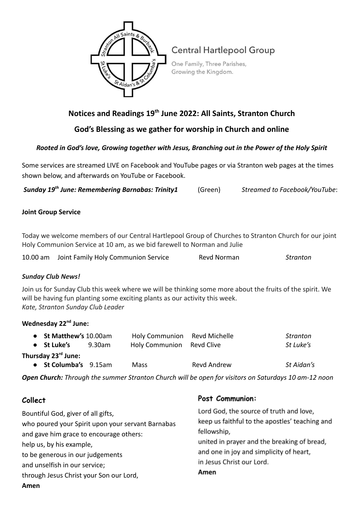

**Central Hartlepool Group** 

One Family, Three Parishes, Growing the Kingdom.

# **Notices and Readings 19 th June 2022: All Saints, Stranton Church**

**God's Blessing as we gather for worship in Church and online**

# *Rooted in God's love, Growing together with Jesus, Branching out in the Power of the Holy Spirit*

Some services are streamed LIVE on Facebook and YouTube pages or via Stranton web pages at the times shown below, and afterwards on YouTube or Facebook.

*Sunday 19th June: Remembering Barnabas: Trinity1* (Green) *Streamed to Facebook/YouTube*:

# **Joint Group Service**

Today we welcome members of our Central Hartlepool Group of Churches to Stranton Church for our joint Holy Communion Service at 10 am, as we bid farewell to Norman and Julie

| 10.00 am Joint Family Holy Communion Service | Revd Norman | <b>Stranton</b> |
|----------------------------------------------|-------------|-----------------|
|                                              |             |                 |

# *Sunday Club News!*

Join us for Sunday Club this week where we will be thinking some more about the fruits of the spirit. We will be having fun planting some exciting plants as our activity this week. *Kate, Stranton Sunday Club Leader*

#### **Wednesday 22nd June:**

| • St Matthew's 10.00am          |           | <b>Holy Communion</b>     | Revd Michelle | <b>Stranton</b> |
|---------------------------------|-----------|---------------------------|---------------|-----------------|
| • St Luke's                     | $9.30$ am | Holy Communion Revd Clive |               | St Luke's       |
| Thursday 23 <sup>rd</sup> June: |           |                           |               |                 |
| • St Columba's 9.15am           |           | <b>Mass</b>               | Revd Andrew   | St Aidan's      |
|                                 |           |                           |               |                 |

*Open Church: Through the summer Stranton Church will be open for visitors on Saturdays 10 am-12 noon*

| Collect                                                                                                                                                                                                                                                                                | Post Communion:                                                                                                                                                                                                                         |  |
|----------------------------------------------------------------------------------------------------------------------------------------------------------------------------------------------------------------------------------------------------------------------------------------|-----------------------------------------------------------------------------------------------------------------------------------------------------------------------------------------------------------------------------------------|--|
| Bountiful God, giver of all gifts,<br>who poured your Spirit upon your servant Barnabas<br>and gave him grace to encourage others:<br>help us, by his example,<br>to be generous in our judgements<br>and unselfish in our service;<br>through Jesus Christ your Son our Lord,<br>Amen | Lord God, the source of truth and love,<br>keep us faithful to the apostles' teaching and<br>fellowship,<br>united in prayer and the breaking of bread,<br>and one in joy and simplicity of heart,<br>in Jesus Christ our Lord.<br>Amen |  |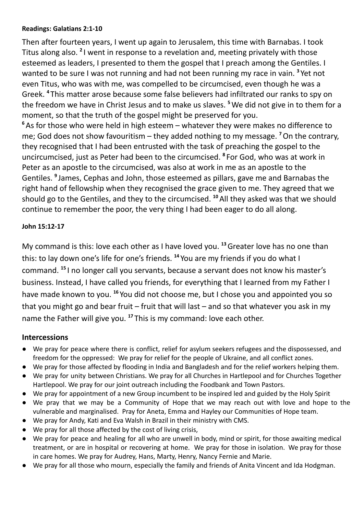# **Readings: Galatians 2:1-10**

Then after fourteen years, I went up again to Jerusalem, this time with Barnabas. I took Titus along also. <sup>2</sup> I went in response to a revelation and, meeting privately with those esteemed as leaders, I presented to them the gospel that I preach among the Gentiles. I wanted to be sure I was not running and had not been running my race in vain. **<sup>3</sup>** Yet not even Titus, who was with me, was compelled to be circumcised, even though he was a Greek. **<sup>4</sup>** This matter arose because some false believers had infiltrated our ranks to spy on the freedom we have in Christ Jesus and to make us slaves. **<sup>5</sup>**We did not give in to them for a moment, so that the truth of the gospel might be preserved for you.

**<sup>6</sup>**As for those who were held in high esteem – whatever they were makes no difference to me; God does not show favouritism – they added nothing to my message. **<sup>7</sup>**On the contrary, they recognised that I had been entrusted with the task of preaching the gospel to the uncircumcised, just as Peter had been to the circumcised. **<sup>8</sup>** For God, who was at work in Peter as an apostle to the circumcised, was also at work in me as an apostle to the Gentiles. <sup>9</sup> James, Cephas and John, those esteemed as pillars, gave me and Barnabas the right hand of fellowship when they recognised the grace given to me. They agreed that we should go to the Gentiles, and they to the circumcised. **<sup>10</sup>**All they asked was that we should continue to remember the poor, the very thing I had been eager to do all along.

# **John 15:12-17**

My command is this: love each other as I have loved you. **<sup>13</sup>**Greater love has no one than this: to lay down one's life for one's friends. **<sup>14</sup>** You are my friends if you do what I command.<sup>15</sup> I no longer call you servants, because a servant does not know his master's business. Instead, I have called you friends, for everything that I learned from my Father I have made known to you. **<sup>16</sup>** You did not choose me, but I chose you and appointed you so that you might go and bear fruit – fruit that will last – and so that whatever you ask in my name the Father will give you. **<sup>17</sup>** This is my command: love each other.

# **Intercessions**

- We pray for peace where there is conflict, relief for asylum seekers refugees and the dispossessed, and freedom for the oppressed: We pray for relief for the people of Ukraine, and all conflict zones.
- We pray for those affected by flooding in India and Bangladesh and for the relief workers helping them.
- We pray for unity between Christians. We pray for all Churches in Hartlepool and for Churches Together Hartlepool. We pray for our joint outreach including the Foodbank and Town Pastors.
- We pray for appointment of a new Group incumbent to be inspired led and guided by the Holy Spirit
- We pray that we may be a Community of Hope that we may reach out with love and hope to the vulnerable and marginalised. Pray for Aneta, Emma and Hayley our Communities of Hope team.
- We pray for Andy, Kati and Eva Walsh in Brazil in their ministry with CMS.
- We pray for all those affected by the cost of living crisis,
- We pray for peace and healing for all who are unwell in body, mind or spirit, for those awaiting medical treatment, or are in hospital or recovering at home. We pray for those in isolation. We pray for those in care homes. We pray for Audrey, Hans, Marty, Henry, Nancy Fernie and Marie.
- **●** We pray for all those who mourn, especially the family and friends of Anita Vincent and Ida Hodgman.